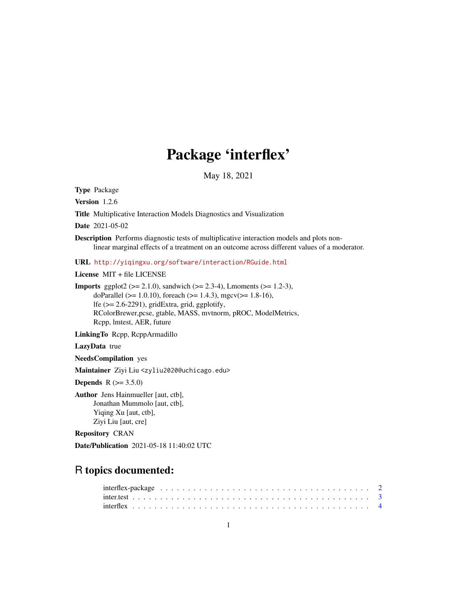# Package 'interflex'

May 18, 2021

Type Package

Version 1.2.6

Title Multiplicative Interaction Models Diagnostics and Visualization

Date 2021-05-02

Description Performs diagnostic tests of multiplicative interaction models and plots nonlinear marginal effects of a treatment on an outcome across different values of a moderator.

URL <http://yiqingxu.org/software/interaction/RGuide.html>

License MIT + file LICENSE

**Imports** ggplot2 ( $>= 2.1.0$ ), sandwich ( $>= 2.3-4$ ), Lmoments ( $>= 1.2-3$ ), doParallel ( $>= 1.0.10$ ), foreach ( $>= 1.4.3$ ), mgcv( $>= 1.8-16$ ), lfe (>= 2.6-2291), gridExtra, grid, ggplotify, RColorBrewer,pcse, gtable, MASS, mvtnorm, pROC, ModelMetrics, Rcpp, lmtest, AER, future

LinkingTo Rcpp, RcppArmadillo

LazyData true

NeedsCompilation yes

Maintainer Ziyi Liu <zyliu2020@uchicago.edu>

**Depends** R  $(>= 3.5.0)$ 

Author Jens Hainmueller [aut, ctb], Jonathan Mummolo [aut, ctb], Yiqing Xu [aut, ctb], Ziyi Liu [aut, cre]

Repository CRAN

Date/Publication 2021-05-18 11:40:02 UTC

## R topics documented: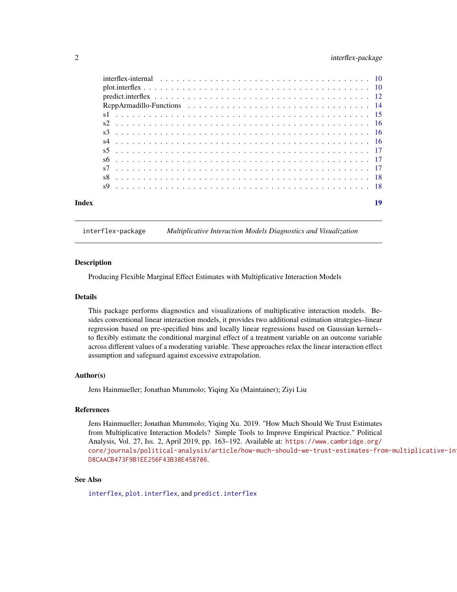### <span id="page-1-0"></span>2 interflex-package

#### interflex-package *Multiplicative Interaction Models Diagnostics and Visualization*

#### **Description**

Producing Flexible Marginal Effect Estimates with Multiplicative Interaction Models

#### Details

This package performs diagnostics and visualizations of multiplicative interaction models. Besides conventional linear interaction models, it provides two additional estimation strategies–linear regression based on pre-specified bins and locally linear regressions based on Gaussian kernels– to flexibly estimate the conditional marginal effect of a treatment variable on an outcome variable across different values of a moderating variable. These approaches relax the linear interaction effect assumption and safeguard against excessive extrapolation.

#### Author(s)

Jens Hainmueller; Jonathan Mummolo; Yiqing Xu (Maintainer); Ziyi Liu

#### References

Jens Hainmueller; Jonathan Mummolo; Yiqing Xu. 2019. "How Much Should We Trust Estimates from Multiplicative Interaction Models? Simple Tools to Improve Empirical Practice." Political Analysis, Vol. 27, Iss. 2, April 2019, pp. 163–192. Available at: [https://www.cambridge.org/](https://www.cambridge.org/core/journals/political-analysis/article/how-much-should-we-trust-estimates-from-multiplicative-interaction-models-simple-tools-to-improve-empirical-practice/D8CAACB473F9B1EE256F43B38E458706) [core/journals/political-analysis/article/how-much-should-we-trust-estimates-fro](https://www.cambridge.org/core/journals/political-analysis/article/how-much-should-we-trust-estimates-from-multiplicative-interaction-models-simple-tools-to-improve-empirical-practice/D8CAACB473F9B1EE256F43B38E458706)m-multiplicative-in [D8CAACB473F9B1EE256F43B38E458706](https://www.cambridge.org/core/journals/political-analysis/article/how-much-should-we-trust-estimates-from-multiplicative-interaction-models-simple-tools-to-improve-empirical-practice/D8CAACB473F9B1EE256F43B38E458706).

#### See Also

[interflex](#page-3-1), [plot.interflex](#page-9-1), and [predict.interflex](#page-11-1)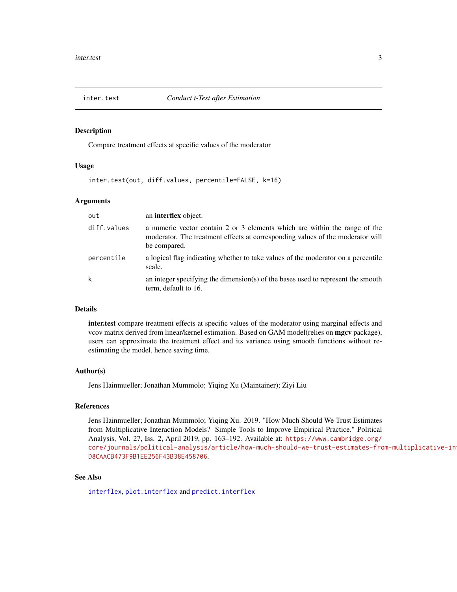<span id="page-2-0"></span>

### Description

Compare treatment effects at specific values of the moderator

#### Usage

inter.test(out, diff.values, percentile=FALSE, k=16)

#### Arguments

| out         | an <b>interflex</b> object.                                                                                                                                                  |
|-------------|------------------------------------------------------------------------------------------------------------------------------------------------------------------------------|
| diff.values | a numeric vector contain 2 or 3 elements which are within the range of the<br>moderator. The treatment effects at corresponding values of the moderator will<br>be compared. |
| percentile  | a logical flag indicating whether to take values of the moderator on a percentile<br>scale.                                                                                  |
| k           | an integer specifying the dimension(s) of the bases used to represent the smooth<br>term, default to 16.                                                                     |

#### Details

inter.test compare treatment effects at specific values of the moderator using marginal effects and vcov matrix derived from linear/kernel estimation. Based on GAM model(relies on mgcv package), users can approximate the treatment effect and its variance using smooth functions without reestimating the model, hence saving time.

#### Author(s)

Jens Hainmueller; Jonathan Mummolo; Yiqing Xu (Maintainer); Ziyi Liu

#### References

Jens Hainmueller; Jonathan Mummolo; Yiqing Xu. 2019. "How Much Should We Trust Estimates from Multiplicative Interaction Models? Simple Tools to Improve Empirical Practice." Political Analysis, Vol. 27, Iss. 2, April 2019, pp. 163–192. Available at: [https://www.cambridge.org/](https://www.cambridge.org/core/journals/political-analysis/article/how-much-should-we-trust-estimates-from-multiplicative-interaction-models-simple-tools-to-improve-empirical-practice/D8CAACB473F9B1EE256F43B38E458706) [core/journals/political-analysis/article/how-much-should-we-trust-estimates-fro](https://www.cambridge.org/core/journals/political-analysis/article/how-much-should-we-trust-estimates-from-multiplicative-interaction-models-simple-tools-to-improve-empirical-practice/D8CAACB473F9B1EE256F43B38E458706)m-multiplicative-in [D8CAACB473F9B1EE256F43B38E458706](https://www.cambridge.org/core/journals/political-analysis/article/how-much-should-we-trust-estimates-from-multiplicative-interaction-models-simple-tools-to-improve-empirical-practice/D8CAACB473F9B1EE256F43B38E458706).

#### See Also

[interflex](#page-3-1), [plot.interflex](#page-9-1) and [predict.interflex](#page-11-1)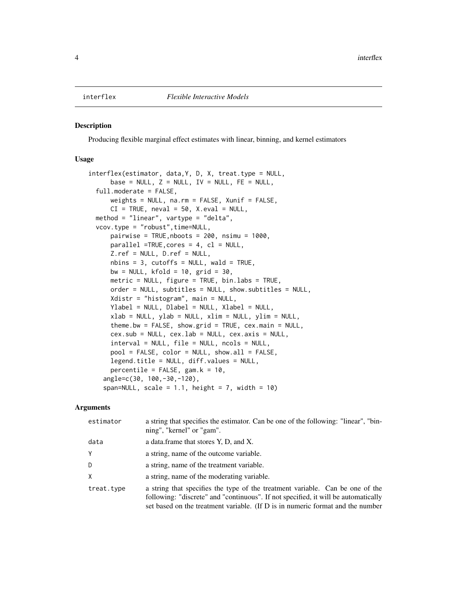#### <span id="page-3-1"></span><span id="page-3-0"></span>Description

Producing flexible marginal effect estimates with linear, binning, and kernel estimators

#### Usage

```
interflex(estimator, data,Y, D, X, treat.type = NULL,
     base = NULL, Z = NULL, IV = NULL, FE = NULL,
  full.moderate = FALSE,
     weights = NULL, na.rm = FALSE, Xunif = FALSE,
     CI = TRUE, \text{neval} = 50, \text{X.eval} = NULL,method = "linear", vartype = "delta",
 vcov.type = "robust",time=NULL,
     pairwise = TRUE, nboots = 200, nsimu = 1000,
     parallel =TRUE,cores = 4, cl = NULL,
     Z.ref = NULL, D.ref = NULL,
     nbins = 3, cutoffs = NULL, wald = TRUE,
     bw = NULL, kfold = 10, grid = 30,
     metric = NULL, figure = TRUE, bin.labs = TRUE,
     order = NULL, subtitles = NULL, show.subtitles = NULL,
     Xdistr = "histogram", main = NULL,
     Ylabel = NULL, Dlabel = NULL, Xlabel = NULL,
     xlab = NULL, ylab = NULL, xlim = NULL, ylim = NULL,
     theme.bw = FALSE, show.grid = TRUE, cex.mainloop = NULL,cex.sub = NULL, cex.lab = NULL, cex.axis = NULL,
     interval = NULL, file = NULL, ncols = NULL,
     pool = FALSE, color = NULL, show.all = FALSE,
     legend.title = NULL, diff.values = NULL,
     percentile = FALSE, gam.k = 10,angle=c(30, 100,-30,-120),
    span=NULL, scale = 1.1, height = 7, width = 10)
```
#### Arguments

| estimator  | a string that specifies the estimator. Can be one of the following: "linear", "bin-<br>ning", "kernel" or "gam".                                                                                                                                      |
|------------|-------------------------------------------------------------------------------------------------------------------------------------------------------------------------------------------------------------------------------------------------------|
| data       | a data.frame that stores Y, D, and X.                                                                                                                                                                                                                 |
| Y          | a string, name of the outcome variable.                                                                                                                                                                                                               |
| D          | a string, name of the treatment variable.                                                                                                                                                                                                             |
| X          | a string, name of the moderating variable.                                                                                                                                                                                                            |
| treat.type | a string that specifies the type of the treatment variable. Can be one of the<br>following: "discrete" and "continuous". If not specified, it will be automatically<br>set based on the treatment variable. (If D is in numeric format and the number |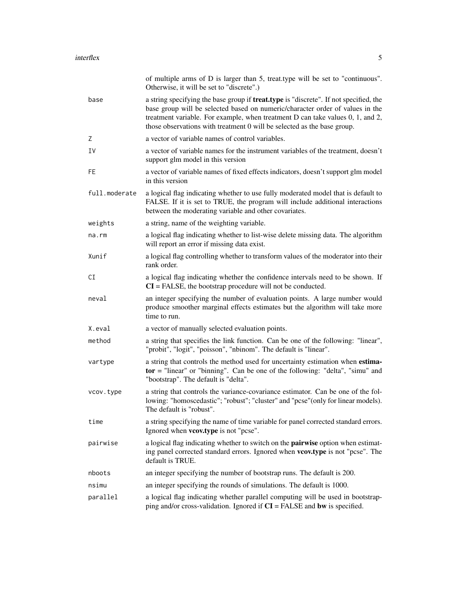|               | of multiple arms of D is larger than 5, treat.type will be set to "continuous".<br>Otherwise, it will be set to "discrete".)                                                                                                                                                                                                               |
|---------------|--------------------------------------------------------------------------------------------------------------------------------------------------------------------------------------------------------------------------------------------------------------------------------------------------------------------------------------------|
| base          | a string specifying the base group if <b>treat.type</b> is "discrete". If not specified, the<br>base group will be selected based on numeric/character order of values in the<br>treatment variable. For example, when treatment D can take values 0, 1, and 2,<br>those observations with treatment 0 will be selected as the base group. |
| Ζ             | a vector of variable names of control variables.                                                                                                                                                                                                                                                                                           |
| I٧            | a vector of variable names for the instrument variables of the treatment, doesn't<br>support glm model in this version                                                                                                                                                                                                                     |
| FE            | a vector of variable names of fixed effects indicators, doesn't support glm model<br>in this version                                                                                                                                                                                                                                       |
| full.moderate | a logical flag indicating whether to use fully moderated model that is default to<br>FALSE. If it is set to TRUE, the program will include additional interactions<br>between the moderating variable and other covariates.                                                                                                                |
| weights       | a string, name of the weighting variable.                                                                                                                                                                                                                                                                                                  |
| $na$ . $rm$   | a logical flag indicating whether to list-wise delete missing data. The algorithm<br>will report an error if missing data exist.                                                                                                                                                                                                           |
| Xunif         | a logical flag controlling whether to transform values of the moderator into their<br>rank order.                                                                                                                                                                                                                                          |
| CI            | a logical flag indicating whether the confidence intervals need to be shown. If<br>$CI = FALSE$ , the bootstrap procedure will not be conducted.                                                                                                                                                                                           |
| neval         | an integer specifying the number of evaluation points. A large number would<br>produce smoother marginal effects estimates but the algorithm will take more<br>time to run.                                                                                                                                                                |
| X.eval        | a vector of manually selected evaluation points.                                                                                                                                                                                                                                                                                           |
| method        | a string that specifies the link function. Can be one of the following: "linear",<br>"probit", "logit", "poisson", "nbinom". The default is "linear".                                                                                                                                                                                      |
| vartype       | a string that controls the method used for uncertainty estimation when estima-<br>$tor$ = "linear" or "binning". Can be one of the following: "delta", "simu" and<br>"bootstrap". The default is "delta".                                                                                                                                  |
| vcov.type     | a string that controls the variance-covariance estimator. Can be one of the fol-<br>lowing: "homoscedastic"; "robust"; "cluster" and "pcse" (only for linear models).<br>The default is "robust".                                                                                                                                          |
| time          | a string specifying the name of time variable for panel corrected standard errors.<br>Ignored when <b>vcov.type</b> is not "pcse".                                                                                                                                                                                                         |
| pairwise      | a logical flag indicating whether to switch on the <b>pairwise</b> option when estimat-<br>ing panel corrected standard errors. Ignored when vcov.type is not "pcse". The<br>default is TRUE.                                                                                                                                              |
| nboots        | an integer specifying the number of bootstrap runs. The default is 200.                                                                                                                                                                                                                                                                    |
| nsimu         | an integer specifying the rounds of simulations. The default is 1000.                                                                                                                                                                                                                                                                      |
| parallel      | a logical flag indicating whether parallel computing will be used in bootstrap-<br>ping and/or cross-validation. Ignored if $CI = FALSE$ and bw is specified.                                                                                                                                                                              |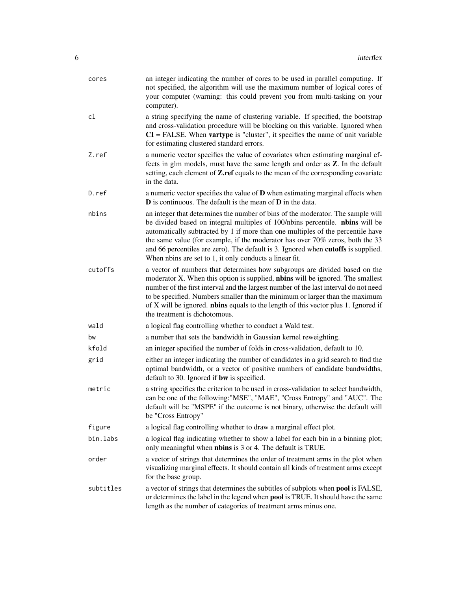| cores     | an integer indicating the number of cores to be used in parallel computing. If<br>not specified, the algorithm will use the maximum number of logical cores of<br>your computer (warning: this could prevent you from multi-tasking on your<br>computer).                                                                                                                                                                                                                            |
|-----------|--------------------------------------------------------------------------------------------------------------------------------------------------------------------------------------------------------------------------------------------------------------------------------------------------------------------------------------------------------------------------------------------------------------------------------------------------------------------------------------|
| cl        | a string specifying the name of clustering variable. If specified, the bootstrap<br>and cross-validation procedure will be blocking on this variable. Ignored when<br>$CI = FALSE$ . When vartype is "cluster", it specifies the name of unit variable<br>for estimating clustered standard errors.                                                                                                                                                                                  |
| Z.ref     | a numeric vector specifies the value of covariates when estimating marginal ef-<br>fects in glm models, must have the same length and order as Z. In the default<br>setting, each element of Z.ref equals to the mean of the corresponding covariate<br>in the data.                                                                                                                                                                                                                 |
| D.ref     | a numeric vector specifies the value of $D$ when estimating marginal effects when<br>$D$ is continuous. The default is the mean of $D$ in the data.                                                                                                                                                                                                                                                                                                                                  |
| nbins     | an integer that determines the number of bins of the moderator. The sample will<br>be divided based on integral multiples of 100/nbins percentile. nbins will be<br>automatically subtracted by 1 if more than one multiples of the percentile have<br>the same value (for example, if the moderator has over 70% zeros, both the 33<br>and 66 percentiles are zero). The default is 3. Ignored when cutoffs is supplied.<br>When nbins are set to 1, it only conducts a linear fit. |
| cutoffs   | a vector of numbers that determines how subgroups are divided based on the<br>moderator X. When this option is supplied, <b>nbins</b> will be ignored. The smallest<br>number of the first interval and the largest number of the last interval do not need<br>to be specified. Numbers smaller than the minimum or larger than the maximum<br>of X will be ignored. nbins equals to the length of this vector plus 1. Ignored if<br>the treatment is dichotomous.                   |
| wald      | a logical flag controlling whether to conduct a Wald test.                                                                                                                                                                                                                                                                                                                                                                                                                           |
| bw        | a number that sets the bandwidth in Gaussian kernel reweighting.                                                                                                                                                                                                                                                                                                                                                                                                                     |
| kfold     | an integer specified the number of folds in cross-validation, default to 10.                                                                                                                                                                                                                                                                                                                                                                                                         |
| grid      | either an integer indicating the number of candidates in a grid search to find the<br>optimal bandwidth, or a vector of positive numbers of candidate bandwidths,<br>default to 30. Ignored if <b>bw</b> is specified.                                                                                                                                                                                                                                                               |
| metric    | a string specifies the criterion to be used in cross-validation to select bandwidth,<br>can be one of the following:"MSE", "MAE", "Cross Entropy" and "AUC". The<br>default will be "MSPE" if the outcome is not binary, otherwise the default will<br>be "Cross Entropy"                                                                                                                                                                                                            |
| figure    | a logical flag controlling whether to draw a marginal effect plot.                                                                                                                                                                                                                                                                                                                                                                                                                   |
| bin.labs  | a logical flag indicating whether to show a label for each bin in a binning plot;<br>only meaningful when <b>nbins</b> is 3 or 4. The default is TRUE.                                                                                                                                                                                                                                                                                                                               |
| order     | a vector of strings that determines the order of treatment arms in the plot when<br>visualizing marginal effects. It should contain all kinds of treatment arms except<br>for the base group.                                                                                                                                                                                                                                                                                        |
| subtitles | a vector of strings that determines the subtitles of subplots when pool is FALSE,<br>or determines the label in the legend when pool is TRUE. It should have the same<br>length as the number of categories of treatment arms minus one.                                                                                                                                                                                                                                             |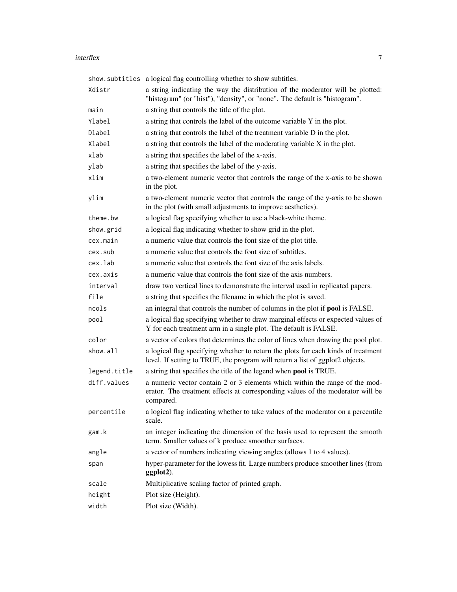#### interflex 7

|              | show.subtitles a logical flag controlling whether to show subtitles.                                                                                                       |
|--------------|----------------------------------------------------------------------------------------------------------------------------------------------------------------------------|
| Xdistr       | a string indicating the way the distribution of the moderator will be plotted:<br>"histogram" (or "hist"), "density", or "none". The default is "histogram".               |
| main         | a string that controls the title of the plot.                                                                                                                              |
| Ylabel       | a string that controls the label of the outcome variable Y in the plot.                                                                                                    |
| Dlabel       | a string that controls the label of the treatment variable D in the plot.                                                                                                  |
| Xlabel       | a string that controls the label of the moderating variable X in the plot.                                                                                                 |
| xlab         | a string that specifies the label of the x-axis.                                                                                                                           |
| ylab         | a string that specifies the label of the y-axis.                                                                                                                           |
| xlim         | a two-element numeric vector that controls the range of the x-axis to be shown<br>in the plot.                                                                             |
| ylim         | a two-element numeric vector that controls the range of the y-axis to be shown<br>in the plot (with small adjustments to improve aesthetics).                              |
| theme.bw     | a logical flag specifying whether to use a black-white theme.                                                                                                              |
| show.grid    | a logical flag indicating whether to show grid in the plot.                                                                                                                |
| cex.main     | a numeric value that controls the font size of the plot title.                                                                                                             |
| cex.sub      | a numeric value that controls the font size of subtitles.                                                                                                                  |
| cex.lab      | a numeric value that controls the font size of the axis labels.                                                                                                            |
| cex.axis     | a numeric value that controls the font size of the axis numbers.                                                                                                           |
| interval     | draw two vertical lines to demonstrate the interval used in replicated papers.                                                                                             |
| file         | a string that specifies the filename in which the plot is saved.                                                                                                           |
| ncols        | an integral that controls the number of columns in the plot if <b>pool</b> is FALSE.                                                                                       |
| pool         | a logical flag specifying whether to draw marginal effects or expected values of<br>Y for each treatment arm in a single plot. The default is FALSE.                       |
| color        | a vector of colors that determines the color of lines when drawing the pool plot.                                                                                          |
| show.all     | a logical flag specifying whether to return the plots for each kinds of treatment<br>level. If setting to TRUE, the program will return a list of ggplot2 objects.         |
| legend.title | a string that specifies the title of the legend when pool is TRUE.                                                                                                         |
| diff.values  | a numeric vector contain 2 or 3 elements which within the range of the mod-<br>erator. The treatment effects at corresponding values of the moderator will be<br>compared. |
| percentile   | a logical flag indicating whether to take values of the moderator on a percentile<br>scale.                                                                                |
| gam.k        | an integer indicating the dimension of the basis used to represent the smooth<br>term. Smaller values of k produce smoother surfaces.                                      |
| angle        | a vector of numbers indicating viewing angles (allows 1 to 4 values).                                                                                                      |
| span         | hyper-parameter for the lowess fit. Large numbers produce smoother lines (from<br>ggplot2).                                                                                |
| scale        | Multiplicative scaling factor of printed graph.                                                                                                                            |
| height       | Plot size (Height).                                                                                                                                                        |
| width        | Plot size (Width).                                                                                                                                                         |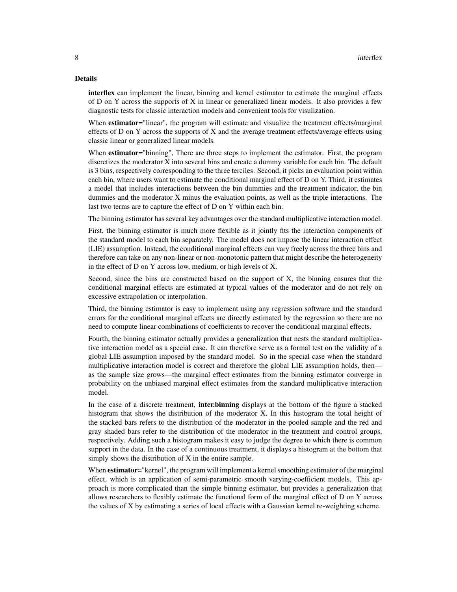#### Details

interflex can implement the linear, binning and kernel estimator to estimate the marginal effects of D on Y across the supports of X in linear or generalized linear models. It also provides a few diagnostic tests for classic interaction models and convenient tools for visulization.

When estimator="linear", the program will estimate and visualize the treatment effects/marginal effects of D on Y across the supports of X and the average treatment effects/average effects using classic linear or generalized linear models.

When **estimator**="binning", There are three steps to implement the estimator. First, the program discretizes the moderator X into several bins and create a dummy variable for each bin. The default is 3 bins, respectively corresponding to the three terciles. Second, it picks an evaluation point within each bin, where users want to estimate the conditional marginal effect of D on Y. Third, it estimates a model that includes interactions between the bin dummies and the treatment indicator, the bin dummies and the moderator X minus the evaluation points, as well as the triple interactions. The last two terms are to capture the effect of D on Y within each bin.

The binning estimator has several key advantages over the standard multiplicative interaction model.

First, the binning estimator is much more flexible as it jointly fits the interaction components of the standard model to each bin separately. The model does not impose the linear interaction effect (LIE) assumption. Instead, the conditional marginal effects can vary freely across the three bins and therefore can take on any non-linear or non-monotonic pattern that might describe the heterogeneity in the effect of D on Y across low, medium, or high levels of X.

Second, since the bins are constructed based on the support of X, the binning ensures that the conditional marginal effects are estimated at typical values of the moderator and do not rely on excessive extrapolation or interpolation.

Third, the binning estimator is easy to implement using any regression software and the standard errors for the conditional marginal effects are directly estimated by the regression so there are no need to compute linear combinations of coefficients to recover the conditional marginal effects.

Fourth, the binning estimator actually provides a generalization that nests the standard multiplicative interaction model as a special case. It can therefore serve as a formal test on the validity of a global LIE assumption imposed by the standard model. So in the special case when the standard multiplicative interaction model is correct and therefore the global LIE assumption holds, then as the sample size grows—the marginal effect estimates from the binning estimator converge in probability on the unbiased marginal effect estimates from the standard multiplicative interaction model.

In the case of a discrete treatment, **inter.binning** displays at the bottom of the figure a stacked histogram that shows the distribution of the moderator X. In this histogram the total height of the stacked bars refers to the distribution of the moderator in the pooled sample and the red and gray shaded bars refer to the distribution of the moderator in the treatment and control groups, respectively. Adding such a histogram makes it easy to judge the degree to which there is common support in the data. In the case of a continuous treatment, it displays a histogram at the bottom that simply shows the distribution of X in the entire sample.

When **estimator**="kernel", the program will implement a kernel smoothing estimator of the marginal effect, which is an application of semi-parametric smooth varying-coefficient models. This approach is more complicated than the simple binning estimator, but provides a generalization that allows researchers to flexibly estimate the functional form of the marginal effect of D on Y across the values of X by estimating a series of local effects with a Gaussian kernel re-weighting scheme.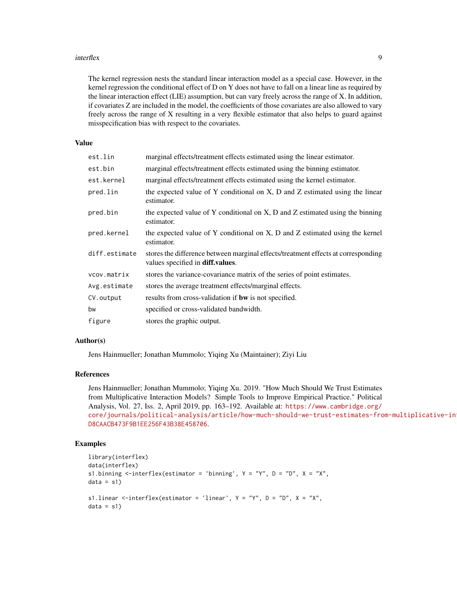#### interflex 9

The kernel regression nests the standard linear interaction model as a special case. However, in the kernel regression the conditional effect of D on Y does not have to fall on a linear line as required by the linear interaction effect (LIE) assumption, but can vary freely across the range of X. In addition, if covariates Z are included in the model, the coefficients of those covariates are also allowed to vary freely across the range of X resulting in a very flexible estimator that also helps to guard against misspecification bias with respect to the covariates.

#### Value

| est.lin       | marginal effects/treatment effects estimated using the linear estimator.                                              |
|---------------|-----------------------------------------------------------------------------------------------------------------------|
| est.bin       | marginal effects/treatment effects estimated using the binning estimator.                                             |
| est.kernel    | marginal effects/treatment effects estimated using the kernel estimator.                                              |
| pred.lin      | the expected value of Y conditional on X, D and Z estimated using the linear<br>estimator.                            |
| pred.bin      | the expected value of Y conditional on X, D and Z estimated using the binning<br>estimator.                           |
| pred.kernel   | the expected value of Y conditional on X, D and Z estimated using the kernel<br>estimator.                            |
| diff.estimate | stores the difference between marginal effects/treatment effects at corresponding<br>values specified in diff.values. |
| vcov.matrix   | stores the variance-covariance matrix of the series of point estimates.                                               |
| Avg.estimate  | stores the average treatment effects/marginal effects.                                                                |
| CV.output     | results from cross-validation if <b>bw</b> is not specified.                                                          |
| bw            | specified or cross-validated bandwidth.                                                                               |
| figure        | stores the graphic output.                                                                                            |

#### Author(s)

Jens Hainmueller; Jonathan Mummolo; Yiqing Xu (Maintainer); Ziyi Liu

#### References

Jens Hainmueller; Jonathan Mummolo; Yiqing Xu. 2019. "How Much Should We Trust Estimates from Multiplicative Interaction Models? Simple Tools to Improve Empirical Practice." Political Analysis, Vol. 27, Iss. 2, April 2019, pp. 163–192. Available at: [https://www.cambridge.org/](https://www.cambridge.org/core/journals/political-analysis/article/how-much-should-we-trust-estimates-from-multiplicative-interaction-models-simple-tools-to-improve-empirical-practice/D8CAACB473F9B1EE256F43B38E458706) [core/journals/political-analysis/article/how-much-should-we-trust-estimates-fro](https://www.cambridge.org/core/journals/political-analysis/article/how-much-should-we-trust-estimates-from-multiplicative-interaction-models-simple-tools-to-improve-empirical-practice/D8CAACB473F9B1EE256F43B38E458706)m-multiplicative-in [D8CAACB473F9B1EE256F43B38E458706](https://www.cambridge.org/core/journals/political-analysis/article/how-much-should-we-trust-estimates-from-multiplicative-interaction-models-simple-tools-to-improve-empirical-practice/D8CAACB473F9B1EE256F43B38E458706).

#### Examples

```
library(interflex)
data(interflex)
s1.binning <-interflex(estimator = 'binning', Y = "Y", D = "D", X = "X",data = s1)s1.linear \le-interflex(estimator = 'linear', Y = "Y", D = "D", X = "X",data = s1)
```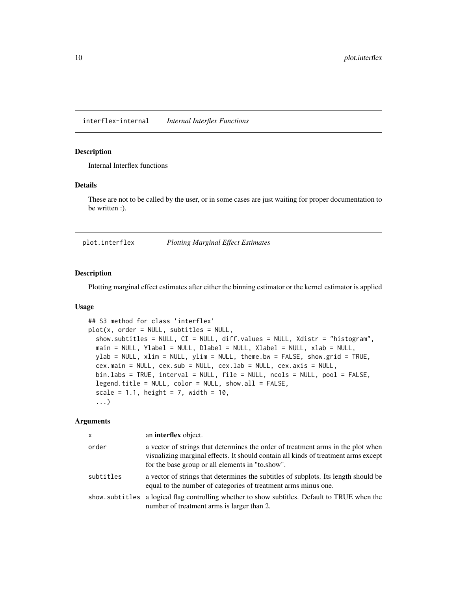<span id="page-9-0"></span>interflex-internal *Internal Interflex Functions*

#### Description

Internal Interflex functions

#### Details

These are not to be called by the user, or in some cases are just waiting for proper documentation to be written :).

<span id="page-9-1"></span>plot.interflex *Plotting Marginal Effect Estimates*

#### Description

Plotting marginal effect estimates after either the binning estimator or the kernel estimator is applied

#### Usage

```
## S3 method for class 'interflex'
plot(x, order = NULL, subtitles = NULL,
  show.subtitles = NULL, CI = NULL, diff.values = NULL, Xdistr = "histogram",
 main = NULL, Ylabel = NULL, Dlabel = NULL, Xlabel = NULL, xlab = NULL,
 ylab = NULL, xlim = NULL, ylim = NULL, theme.bw = FALSE, show.grid = TRUE,
  cex.main = NULL, cex.sub = NULL, cex.lab = NULL, cex.axis = NULL,
 bin.labs = TRUE, interval = NULL, file = NULL, ncols = NULL, pool = FALSE,
  legend.title = NULL, color = NULL, show.all = FALSE,
  scale = 1.1, height = 7, width = 10,
  ...)
```
#### Arguments

| X         | an <b>interflex</b> object.                                                                                                                                                                                                |
|-----------|----------------------------------------------------------------------------------------------------------------------------------------------------------------------------------------------------------------------------|
| order     | a vector of strings that determines the order of treatment arms in the plot when<br>visualizing marginal effects. It should contain all kinds of treatment arms except<br>for the base group or all elements in "to.show". |
| subtitles | a vector of strings that determines the subtitles of subplots. Its length should be<br>equal to the number of categories of treatment arms minus one.                                                                      |
|           | show subtitles a logical flag controlling whether to show subtitles. Default to TRUE when the<br>number of treatment arms is larger than 2.                                                                                |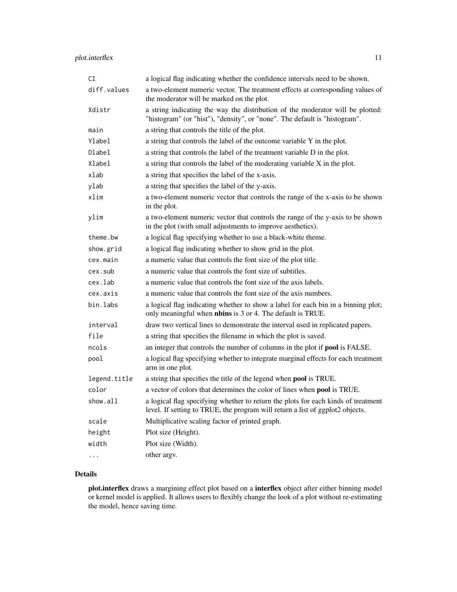### plot.interflex 11

| CI           | a logical flag indicating whether the confidence intervals need to be shown.                                                                                       |
|--------------|--------------------------------------------------------------------------------------------------------------------------------------------------------------------|
| diff.values  | a two-element numeric vector. The treatment effects at corresponding values of<br>the moderator will be marked on the plot.                                        |
| Xdistr       | a string indicating the way the distribution of the moderator will be plotted:<br>"histogram" (or "hist"), "density", or "none". The default is "histogram".       |
| main         | a string that controls the title of the plot.                                                                                                                      |
| Ylabel       | a string that controls the label of the outcome variable Y in the plot.                                                                                            |
| Dlabel       | a string that controls the label of the treatment variable D in the plot.                                                                                          |
| Xlabel       | a string that controls the label of the moderating variable X in the plot.                                                                                         |
| xlab         | a string that specifies the label of the x-axis.                                                                                                                   |
| ylab         | a string that specifies the label of the y-axis.                                                                                                                   |
| xlim         | a two-element numeric vector that controls the range of the x-axis to be shown<br>in the plot.                                                                     |
| ylim         | a two-element numeric vector that controls the range of the y-axis to be shown<br>in the plot (with small adjustments to improve aesthetics).                      |
| theme.bw     | a logical flag specifying whether to use a black-white theme.                                                                                                      |
| show.grid    | a logical flag indicating whether to show grid in the plot.                                                                                                        |
| cex.main     | a numeric value that controls the font size of the plot title.                                                                                                     |
| cex.sub      | a numeric value that controls the font size of subtitles.                                                                                                          |
| cex.lab      | a numeric value that controls the font size of the axis labels.                                                                                                    |
| cex.axis     | a numeric value that controls the font size of the axis numbers.                                                                                                   |
| bin.labs     | a logical flag indicating whether to show a label for each bin in a binning plot;<br>only meaningful when <b>nbins</b> is 3 or 4. The default is TRUE.             |
| interval     | draw two vertical lines to demonstrate the interval used in replicated papers.                                                                                     |
| file         | a string that specifies the filename in which the plot is saved.                                                                                                   |
| ncols        | an integer that controls the number of columns in the plot if pool is FALSE.                                                                                       |
| pool         | a logical flag specifying whether to integrate marginal effects for each treatment<br>arm in one plot.                                                             |
| legend.title | a string that specifies the title of the legend when pool is TRUE.                                                                                                 |
| color        | a vector of colors that determines the color of lines when pool is TRUE.                                                                                           |
| show.all     | a logical flag specifying whether to return the plots for each kinds of treatment<br>level. If setting to TRUE, the program will return a list of ggplot2 objects. |
| scale        | Multiplicative scaling factor of printed graph.                                                                                                                    |
| height       | Plot size (Height).                                                                                                                                                |
| width        | Plot size (Width).                                                                                                                                                 |
| .            | other argv.                                                                                                                                                        |

### Details

plot.interflex draws a margining effect plot based on a interflex object after either binning model or kernel model is applied. It allows users to flexibly change the look of a plot without re-estimating the model, hence saving time.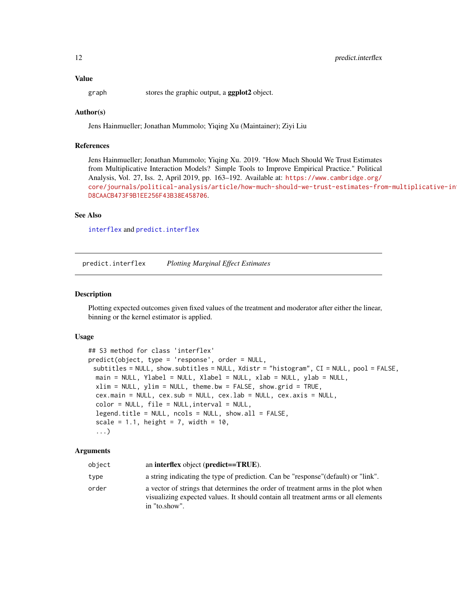#### <span id="page-11-0"></span>Value

graph stores the graphic output, a **ggplot2** object.

### Author(s)

Jens Hainmueller; Jonathan Mummolo; Yiqing Xu (Maintainer); Ziyi Liu

#### References

Jens Hainmueller; Jonathan Mummolo; Yiqing Xu. 2019. "How Much Should We Trust Estimates from Multiplicative Interaction Models? Simple Tools to Improve Empirical Practice." Political Analysis, Vol. 27, Iss. 2, April 2019, pp. 163–192. Available at: [https://www.cambridge.org/](https://www.cambridge.org/core/journals/political-analysis/article/how-much-should-we-trust-estimates-from-multiplicative-interaction-models-simple-tools-to-improve-empirical-practice/D8CAACB473F9B1EE256F43B38E458706) [core/journals/political-analysis/article/how-much-should-we-trust-estimates-fro](https://www.cambridge.org/core/journals/political-analysis/article/how-much-should-we-trust-estimates-from-multiplicative-interaction-models-simple-tools-to-improve-empirical-practice/D8CAACB473F9B1EE256F43B38E458706)m-multiplicative-in [D8CAACB473F9B1EE256F43B38E458706](https://www.cambridge.org/core/journals/political-analysis/article/how-much-should-we-trust-estimates-from-multiplicative-interaction-models-simple-tools-to-improve-empirical-practice/D8CAACB473F9B1EE256F43B38E458706).

#### See Also

[interflex](#page-3-1) and [predict.interflex](#page-11-1)

<span id="page-11-1"></span>predict.interflex *Plotting Marginal Effect Estimates*

#### Description

Plotting expected outcomes given fixed values of the treatment and moderator after either the linear, binning or the kernel estimator is applied.

#### Usage

```
## S3 method for class 'interflex'
predict(object, type = 'response', order = NULL,
 subtitles = NULL, show.subtitles = NULL, Xdistr = "histogram", CI = NULL, pool = FALSE,
 main = NULL, Ylabel = NULL, Xlabel = NULL, xlab = NULL, ylab = NULL,
 xlim = NULL, ylim = NULL, theme.bw = FALSE, show.grid = TRUE,
 cex.main = NULL, cex.sub = NULL, cex.lab = NULL, cex.axis = NULL,
 color = NULL, file = NULL,interval = NULL,
  legend.title = NULL, ncols = NULL, show.al = FALSE,scale = 1.1, height = 7, width = 10,
  ...)
```
#### **Arguments**

| object | an interflex object ( $predict == TRUE$ ).                                                                                                                                             |
|--------|----------------------------------------------------------------------------------------------------------------------------------------------------------------------------------------|
| type   | a string indicating the type of prediction. Can be "response" (default) or "link".                                                                                                     |
| order  | a vector of strings that determines the order of treatment arms in the plot when<br>visualizing expected values. It should contain all treatment arms or all elements<br>in "to.show". |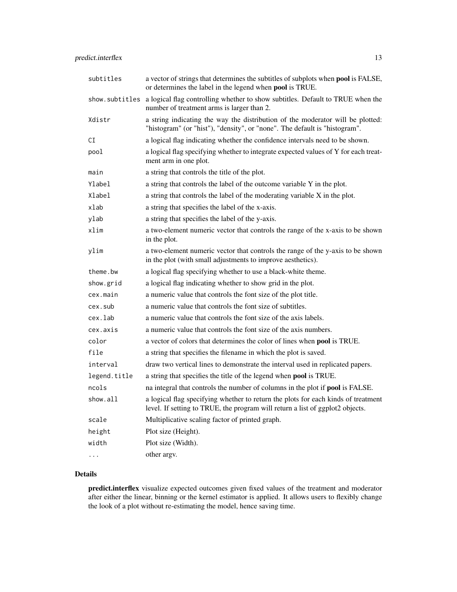| subtitles      | a vector of strings that determines the subtitles of subplots when pool is FALSE,<br>or determines the label in the legend when pool is TRUE.                      |
|----------------|--------------------------------------------------------------------------------------------------------------------------------------------------------------------|
| show.subtitles | a logical flag controlling whether to show subtitles. Default to TRUE when the<br>number of treatment arms is larger than 2.                                       |
| Xdistr         | a string indicating the way the distribution of the moderator will be plotted:<br>"histogram" (or "hist"), "density", or "none". The default is "histogram".       |
| СI             | a logical flag indicating whether the confidence intervals need to be shown.                                                                                       |
| pool           | a logical flag specifying whether to integrate expected values of Y for each treat-<br>ment arm in one plot.                                                       |
| main           | a string that controls the title of the plot.                                                                                                                      |
| Ylabel         | a string that controls the label of the outcome variable Y in the plot.                                                                                            |
| Xlabel         | a string that controls the label of the moderating variable X in the plot.                                                                                         |
| xlab           | a string that specifies the label of the x-axis.                                                                                                                   |
| ylab           | a string that specifies the label of the y-axis.                                                                                                                   |
| xlim           | a two-element numeric vector that controls the range of the x-axis to be shown<br>in the plot.                                                                     |
| ylim           | a two-element numeric vector that controls the range of the y-axis to be shown<br>in the plot (with small adjustments to improve aesthetics).                      |
| theme.bw       | a logical flag specifying whether to use a black-white theme.                                                                                                      |
| show.grid      | a logical flag indicating whether to show grid in the plot.                                                                                                        |
| cex.main       | a numeric value that controls the font size of the plot title.                                                                                                     |
| cex.sub        | a numeric value that controls the font size of subtitles.                                                                                                          |
| cex.lab        | a numeric value that controls the font size of the axis labels.                                                                                                    |
| cex.axis       | a numeric value that controls the font size of the axis numbers.                                                                                                   |
| color          | a vector of colors that determines the color of lines when pool is TRUE.                                                                                           |
| file           | a string that specifies the filename in which the plot is saved.                                                                                                   |
| interval       | draw two vertical lines to demonstrate the interval used in replicated papers.                                                                                     |
| legend.title   | a string that specifies the title of the legend when pool is TRUE.                                                                                                 |
| ncols          | na integral that controls the number of columns in the plot if pool is FALSE.                                                                                      |
| show.all       | a logical flag specifying whether to return the plots for each kinds of treatment<br>level. If setting to TRUE, the program will return a list of ggplot2 objects. |
| scale          | Multiplicative scaling factor of printed graph.                                                                                                                    |
| height         | Plot size (Height).                                                                                                                                                |
| width          | Plot size (Width).                                                                                                                                                 |
| $\cdots$       | other argv.                                                                                                                                                        |

### Details

predict.interflex visualize expected outcomes given fixed values of the treatment and moderator after either the linear, binning or the kernel estimator is applied. It allows users to flexibly change the look of a plot without re-estimating the model, hence saving time.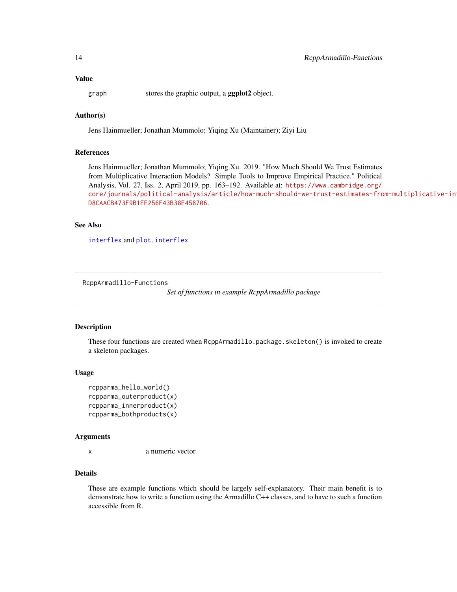<span id="page-13-0"></span>graph stores the graphic output, a **ggplot2** object.

### Author(s)

Jens Hainmueller; Jonathan Mummolo; Yiqing Xu (Maintainer); Ziyi Liu

### References

Jens Hainmueller; Jonathan Mummolo; Yiqing Xu. 2019. "How Much Should We Trust Estimates from Multiplicative Interaction Models? Simple Tools to Improve Empirical Practice." Political Analysis, Vol. 27, Iss. 2, April 2019, pp. 163–192. Available at: [https://www.cambridge.org/](https://www.cambridge.org/core/journals/political-analysis/article/how-much-should-we-trust-estimates-from-multiplicative-interaction-models-simple-tools-to-improve-empirical-practice/D8CAACB473F9B1EE256F43B38E458706) [core/journals/political-analysis/article/how-much-should-we-trust-estimates-fro](https://www.cambridge.org/core/journals/political-analysis/article/how-much-should-we-trust-estimates-from-multiplicative-interaction-models-simple-tools-to-improve-empirical-practice/D8CAACB473F9B1EE256F43B38E458706)m-multiplicative-in [D8CAACB473F9B1EE256F43B38E458706](https://www.cambridge.org/core/journals/political-analysis/article/how-much-should-we-trust-estimates-from-multiplicative-interaction-models-simple-tools-to-improve-empirical-practice/D8CAACB473F9B1EE256F43B38E458706).

#### See Also

[interflex](#page-3-1) and [plot.interflex](#page-9-1)

RcppArmadillo-Functions

*Set of functions in example RcppArmadillo package*

#### Description

These four functions are created when RcppArmadillo.package.skeleton() is invoked to create a skeleton packages.

#### Usage

```
rcpparma_hello_world()
rcpparma_outerproduct(x)
rcpparma_innerproduct(x)
rcpparma_bothproducts(x)
```
#### Arguments

x a numeric vector

#### Details

These are example functions which should be largely self-explanatory. Their main benefit is to demonstrate how to write a function using the Armadillo C++ classes, and to have to such a function accessible from R.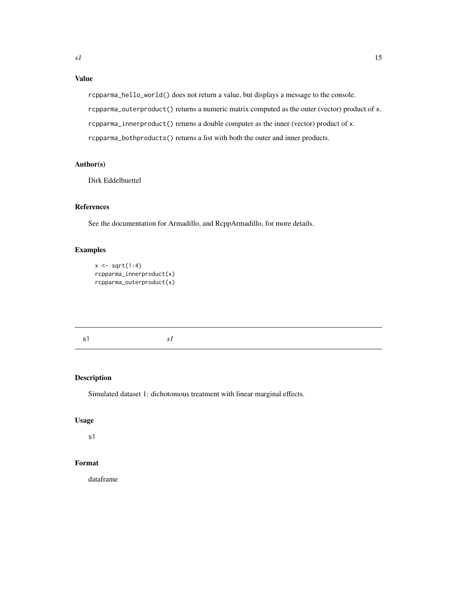### <span id="page-14-0"></span>Value

rcpparma\_hello\_world() does not return a value, but displays a message to the console.

rcpparma\_outerproduct() returns a numeric matrix computed as the outer (vector) product of x.

rcpparma\_innerproduct() returns a double computer as the inner (vector) product of x.

rcpparma\_bothproducts() returns a list with both the outer and inner products.

### Author(s)

Dirk Eddelbuettel

### References

See the documentation for Armadillo, and RcppArmadillo, for more details.

### Examples

```
x \leftarrow sqrt(1:4)rcpparma_innerproduct(x)
rcpparma_outerproduct(x)
```
s1 *s1*

### Description

Simulated dataset 1: dichotomous treatment with linear marginal effects.

### Usage

s1

### Format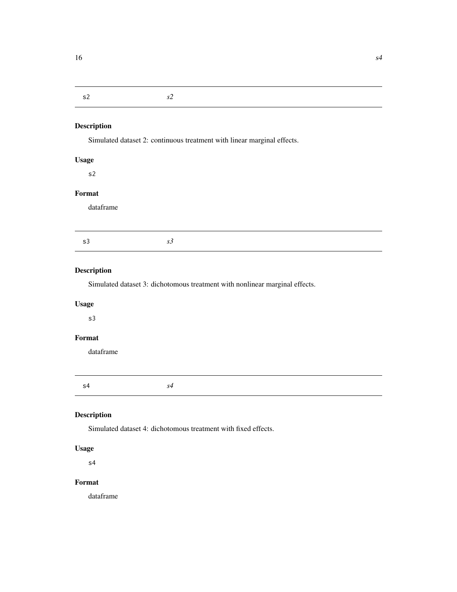## <span id="page-15-0"></span>s2 *s2*

### Description

Simulated dataset 2: continuous treatment with linear marginal effects.

### Usage

s2

### Format

dataframe

### Description

Simulated dataset 3: dichotomous treatment with nonlinear marginal effects.

### Usage

s3

### Format

dataframe

s4 *s4*

### Description

Simulated dataset 4: dichotomous treatment with fixed effects.

### Usage

s4

### Format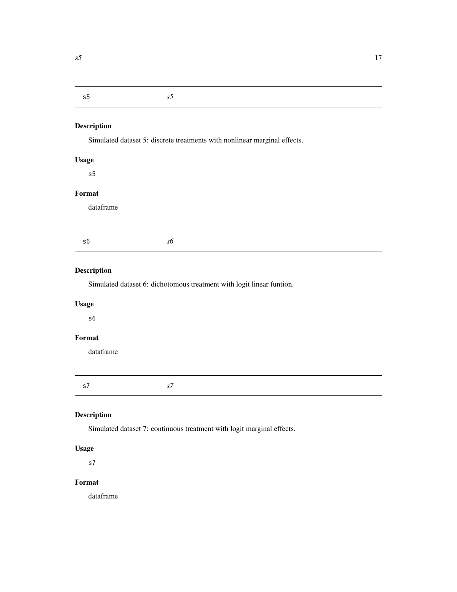### <span id="page-16-0"></span>s5 *s5*

### Description

Simulated dataset 5: discrete treatments with nonlinear marginal effects.

### Usage

s5

## Format

dataframe

### Description

Simulated dataset 6: dichotomous treatment with logit linear funtion.

### Usage

s6

### Format

dataframe

s7 *s7*

### Description

Simulated dataset 7: continuous treatment with logit marginal effects.

### Usage

s7

### Format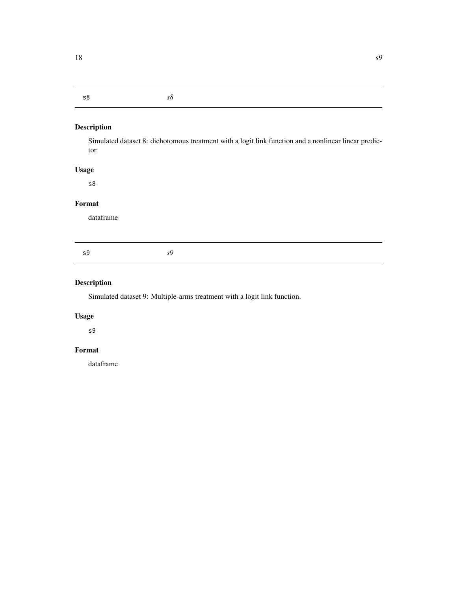#### <span id="page-17-0"></span>s8 *s8*

### Description

Simulated dataset 8: dichotomous treatment with a logit link function and a nonlinear linear predictor.

### Usage

s8

#### Format

dataframe

s9 *s9*

### Description

Simulated dataset 9: Multiple-arms treatment with a logit link function.

### Usage

s9

### Format